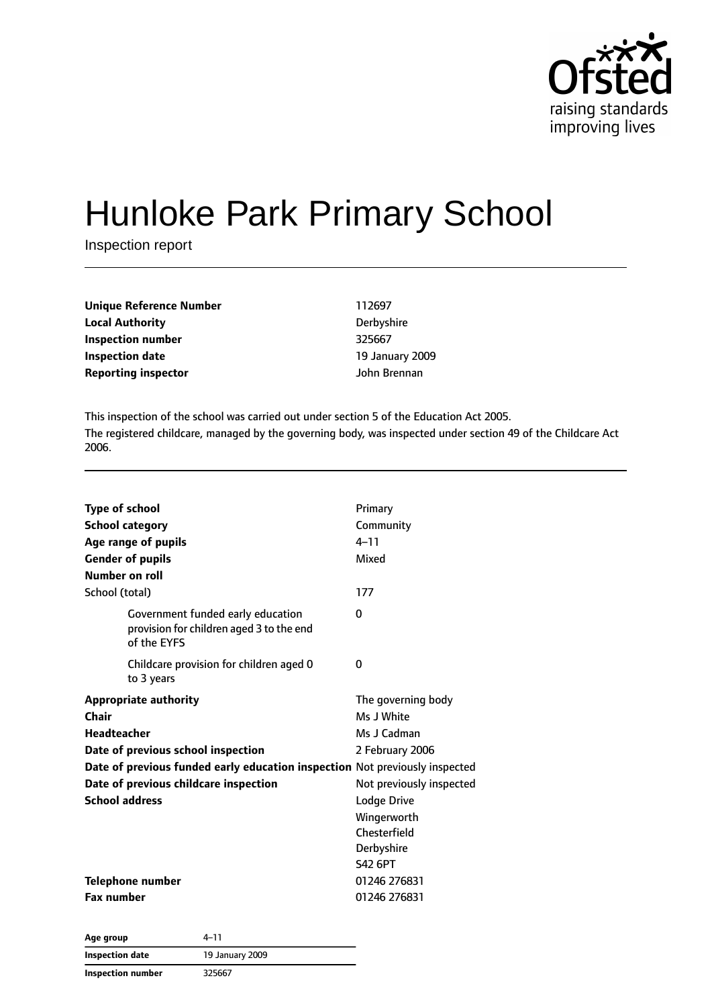

# Hunloke Park Primary School

Inspection report

| Unique Reference Number    | 112697          |
|----------------------------|-----------------|
| Local Authority            | Derbyshire      |
| Inspection number          | 325667          |
| Inspection date            | 19 January 2009 |
| <b>Reporting inspector</b> | John Brennan    |
|                            |                 |

This inspection of the school was carried out under section 5 of the Education Act 2005. The registered childcare, managed by the governing body, was inspected under section 49 of the Childcare Act 2006.

| <b>Type of school</b><br><b>School category</b><br>Age range of pupils<br><b>Gender of pupils</b><br>Number on roll                                                                                                                                | Primary<br>Community<br>$4 - 11$<br>Mixed                                                                                                                                    |
|----------------------------------------------------------------------------------------------------------------------------------------------------------------------------------------------------------------------------------------------------|------------------------------------------------------------------------------------------------------------------------------------------------------------------------------|
| School (total)                                                                                                                                                                                                                                     | 177                                                                                                                                                                          |
| Government funded early education<br>provision for children aged 3 to the end<br>of the EYFS                                                                                                                                                       | $\Omega$                                                                                                                                                                     |
| Childcare provision for children aged 0<br>to 3 years                                                                                                                                                                                              | 0                                                                                                                                                                            |
| <b>Appropriate authority</b><br>Chair<br><b>Headteacher</b><br>Date of previous school inspection<br>Date of previous funded early education inspection Not previously inspected<br>Date of previous childcare inspection<br><b>School address</b> | The governing body<br>Ms J White<br>Ms J Cadman<br>2 February 2006<br>Not previously inspected<br>Lodge Drive<br>Wingerworth<br>Chesterfield<br>Derbyshire<br><b>S42 6PT</b> |
| <b>Telephone number</b><br><b>Fax number</b>                                                                                                                                                                                                       | 01246 276831<br>01246 276831                                                                                                                                                 |

| Age group         | 4–11            |
|-------------------|-----------------|
| Inspection date   | 19 January 2009 |
| Inspection number | 325667          |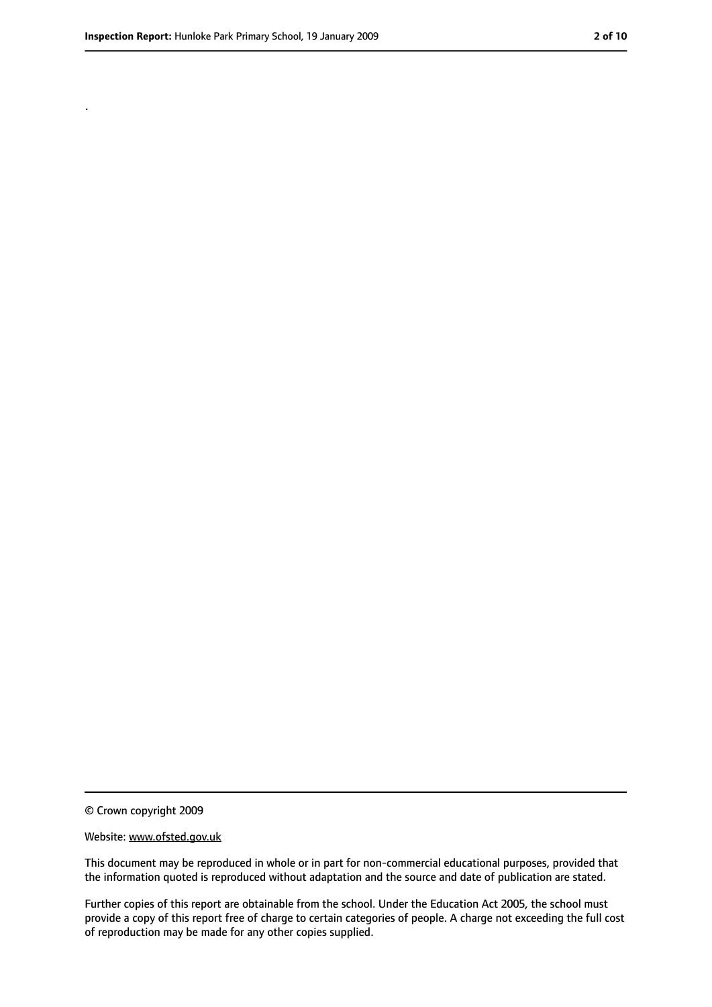.

<sup>©</sup> Crown copyright 2009

Website: www.ofsted.gov.uk

This document may be reproduced in whole or in part for non-commercial educational purposes, provided that the information quoted is reproduced without adaptation and the source and date of publication are stated.

Further copies of this report are obtainable from the school. Under the Education Act 2005, the school must provide a copy of this report free of charge to certain categories of people. A charge not exceeding the full cost of reproduction may be made for any other copies supplied.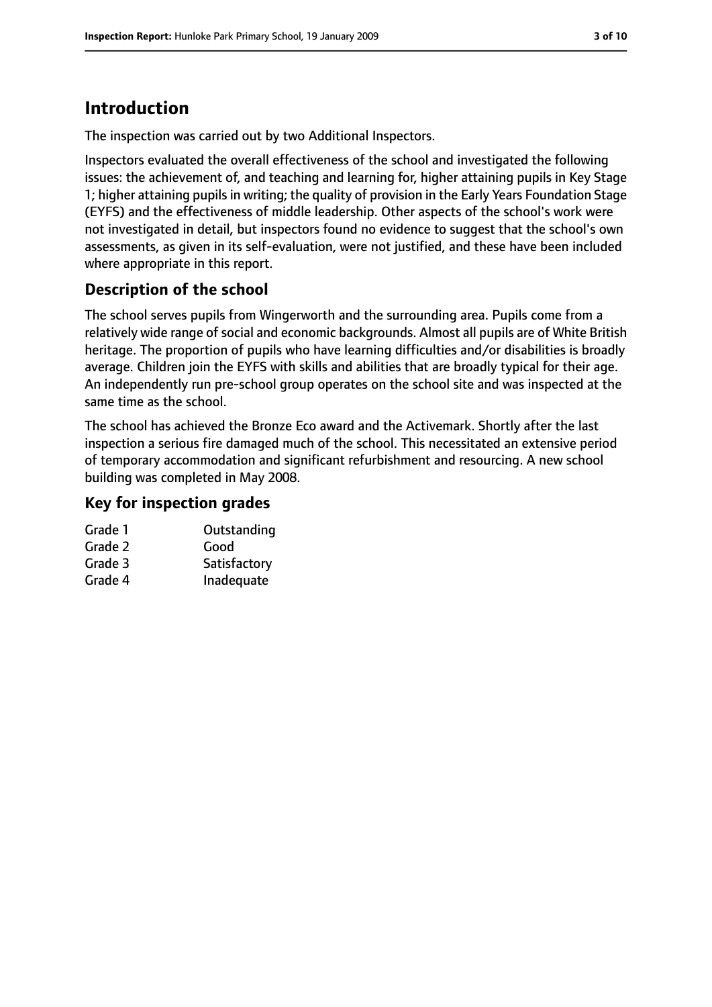# **Introduction**

The inspection was carried out by two Additional Inspectors.

Inspectors evaluated the overall effectiveness of the school and investigated the following issues: the achievement of, and teaching and learning for, higher attaining pupils in Key Stage 1; higher attaining pupils in writing; the quality of provision in the Early Years Foundation Stage (EYFS) and the effectiveness of middle leadership. Other aspects of the school's work were not investigated in detail, but inspectors found no evidence to suggest that the school's own assessments, as given in its self-evaluation, were not justified, and these have been included where appropriate in this report.

### **Description of the school**

The school serves pupils from Wingerworth and the surrounding area. Pupils come from a relatively wide range of social and economic backgrounds. Almost all pupils are of White British heritage. The proportion of pupils who have learning difficulties and/or disabilities is broadly average. Children join the EYFS with skills and abilities that are broadly typical for their age. An independently run pre-school group operates on the school site and was inspected at the same time as the school.

The school has achieved the Bronze Eco award and the Activemark. Shortly after the last inspection a serious fire damaged much of the school. This necessitated an extensive period of temporary accommodation and significant refurbishment and resourcing. A new school building was completed in May 2008.

### **Key for inspection grades**

| Grade 1 | Outstanding  |
|---------|--------------|
| Grade 2 | Good         |
| Grade 3 | Satisfactory |

Grade 4 Inadequate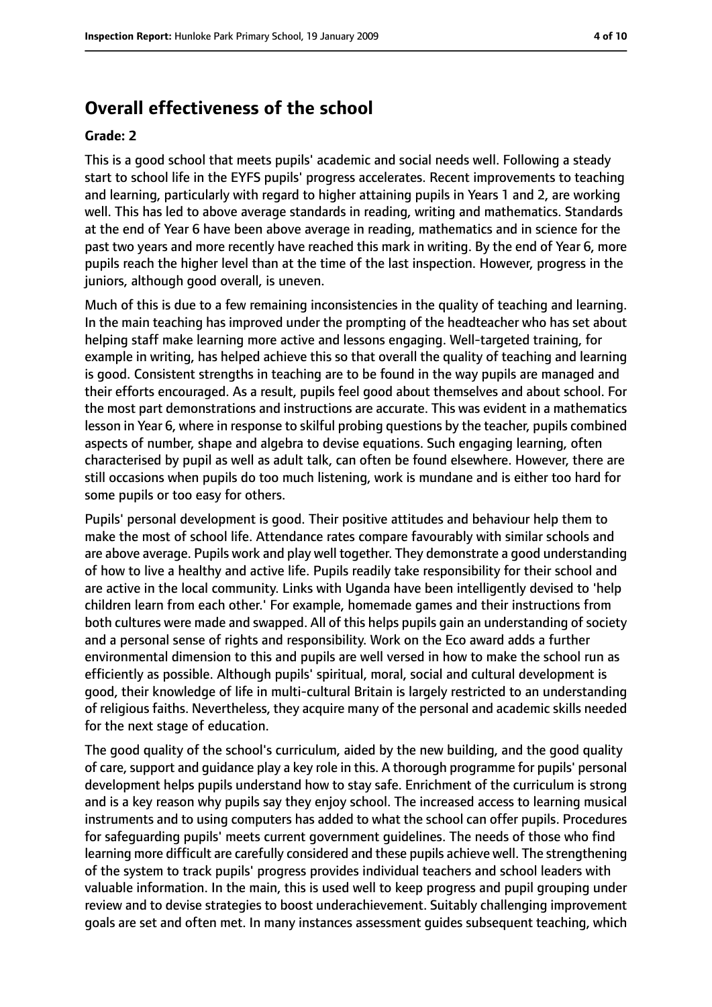### **Overall effectiveness of the school**

#### **Grade: 2**

This is a good school that meets pupils' academic and social needs well. Following a steady start to school life in the EYFS pupils' progress accelerates. Recent improvements to teaching and learning, particularly with regard to higher attaining pupils in Years 1 and 2, are working well. This has led to above average standards in reading, writing and mathematics. Standards at the end of Year 6 have been above average in reading, mathematics and in science for the past two years and more recently have reached this mark in writing. By the end of Year 6, more pupils reach the higher level than at the time of the last inspection. However, progress in the juniors, although good overall, is uneven.

Much of this is due to a few remaining inconsistencies in the quality of teaching and learning. In the main teaching has improved under the prompting of the headteacher who has set about helping staff make learning more active and lessons engaging. Well-targeted training, for example in writing, has helped achieve this so that overall the quality of teaching and learning is good. Consistent strengths in teaching are to be found in the way pupils are managed and their efforts encouraged. As a result, pupils feel good about themselves and about school. For the most part demonstrations and instructions are accurate. This was evident in a mathematics lesson in Year 6, where in response to skilful probing questions by the teacher, pupils combined aspects of number, shape and algebra to devise equations. Such engaging learning, often characterised by pupil as well as adult talk, can often be found elsewhere. However, there are still occasions when pupils do too much listening, work is mundane and is either too hard for some pupils or too easy for others.

Pupils' personal development is good. Their positive attitudes and behaviour help them to make the most of school life. Attendance rates compare favourably with similar schools and are above average. Pupils work and play well together. They demonstrate a good understanding of how to live a healthy and active life. Pupils readily take responsibility for their school and are active in the local community. Links with Uganda have been intelligently devised to 'help children learn from each other.' For example, homemade games and their instructions from both cultures were made and swapped. All of this helps pupils gain an understanding of society and a personal sense of rights and responsibility. Work on the Eco award adds a further environmental dimension to this and pupils are well versed in how to make the school run as efficiently as possible. Although pupils' spiritual, moral, social and cultural development is good, their knowledge of life in multi-cultural Britain is largely restricted to an understanding of religious faiths. Nevertheless, they acquire many of the personal and academic skills needed for the next stage of education.

The good quality of the school's curriculum, aided by the new building, and the good quality of care, support and guidance play a key role in this. A thorough programme for pupils' personal development helps pupils understand how to stay safe. Enrichment of the curriculum is strong and is a key reason why pupils say they enjoy school. The increased access to learning musical instruments and to using computers has added to what the school can offer pupils. Procedures for safeguarding pupils' meets current government guidelines. The needs of those who find learning more difficult are carefully considered and these pupils achieve well. The strengthening of the system to track pupils' progress provides individual teachers and school leaders with valuable information. In the main, this is used well to keep progress and pupil grouping under review and to devise strategies to boost underachievement. Suitably challenging improvement goals are set and often met. In many instances assessment guides subsequent teaching, which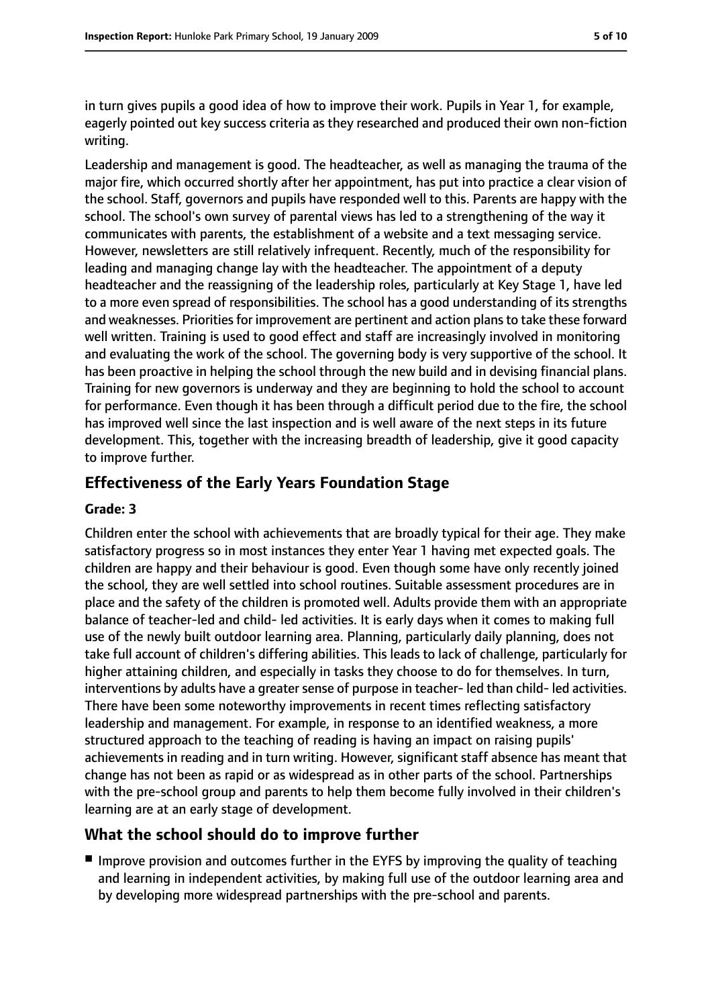in turn gives pupils a good idea of how to improve their work. Pupils in Year 1, for example, eagerly pointed out key success criteria as they researched and produced their own non-fiction writing.

Leadership and management is good. The headteacher, as well as managing the trauma of the major fire, which occurred shortly after her appointment, has put into practice a clear vision of the school. Staff, governors and pupils have responded well to this. Parents are happy with the school. The school's own survey of parental views has led to a strengthening of the way it communicates with parents, the establishment of a website and a text messaging service. However, newsletters are still relatively infrequent. Recently, much of the responsibility for leading and managing change lay with the headteacher. The appointment of a deputy headteacher and the reassigning of the leadership roles, particularly at Key Stage 1, have led to a more even spread of responsibilities. The school has a good understanding of its strengths and weaknesses. Priorities for improvement are pertinent and action plans to take these forward well written. Training is used to good effect and staff are increasingly involved in monitoring and evaluating the work of the school. The governing body is very supportive of the school. It has been proactive in helping the school through the new build and in devising financial plans. Training for new governors is underway and they are beginning to hold the school to account for performance. Even though it has been through a difficult period due to the fire, the school has improved well since the last inspection and is well aware of the next steps in its future development. This, together with the increasing breadth of leadership, give it good capacity to improve further.

### **Effectiveness of the Early Years Foundation Stage**

#### **Grade: 3**

Children enter the school with achievements that are broadly typical for their age. They make satisfactory progress so in most instances they enter Year 1 having met expected goals. The children are happy and their behaviour is good. Even though some have only recently joined the school, they are well settled into school routines. Suitable assessment procedures are in place and the safety of the children is promoted well. Adults provide them with an appropriate balance of teacher-led and child- led activities. It is early days when it comes to making full use of the newly built outdoor learning area. Planning, particularly daily planning, does not take full account of children's differing abilities. This leads to lack of challenge, particularly for higher attaining children, and especially in tasks they choose to do for themselves. In turn, interventions by adults have a greater sense of purpose in teacher-led than child-led activities. There have been some noteworthy improvements in recent times reflecting satisfactory leadership and management. For example, in response to an identified weakness, a more structured approach to the teaching of reading is having an impact on raising pupils' achievements in reading and in turn writing. However, significant staff absence has meant that change has not been as rapid or as widespread as in other parts of the school. Partnerships with the pre-school group and parents to help them become fully involved in their children's learning are at an early stage of development.

### **What the school should do to improve further**

■ Improve provision and outcomes further in the EYFS by improving the quality of teaching and learning in independent activities, by making full use of the outdoor learning area and by developing more widespread partnerships with the pre-school and parents.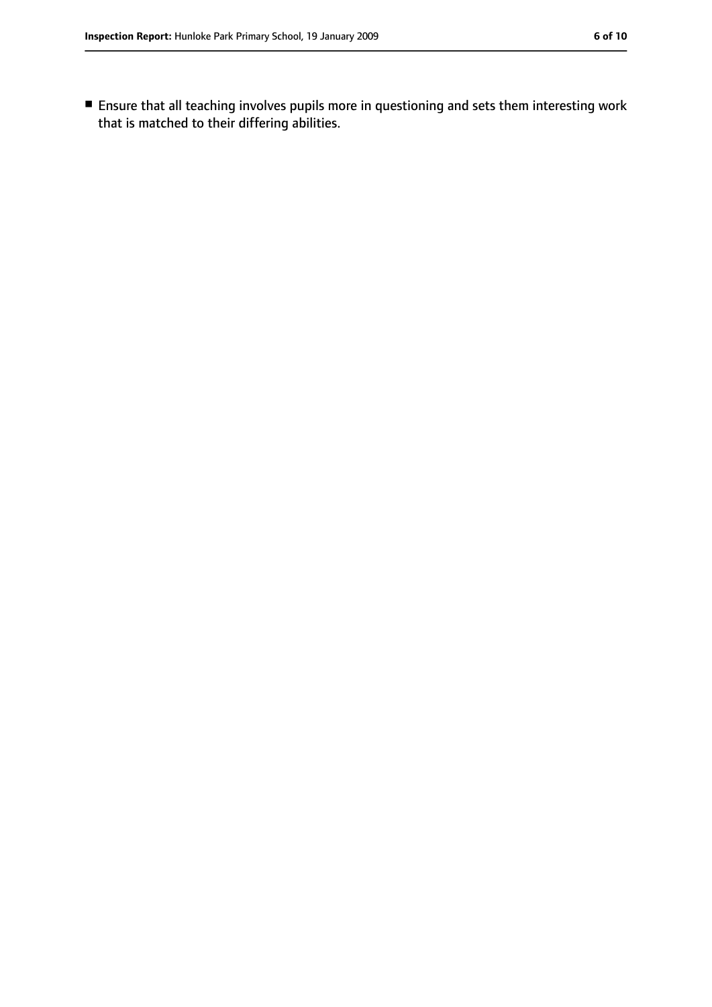■ Ensure that all teaching involves pupils more in questioning and sets them interesting work that is matched to their differing abilities.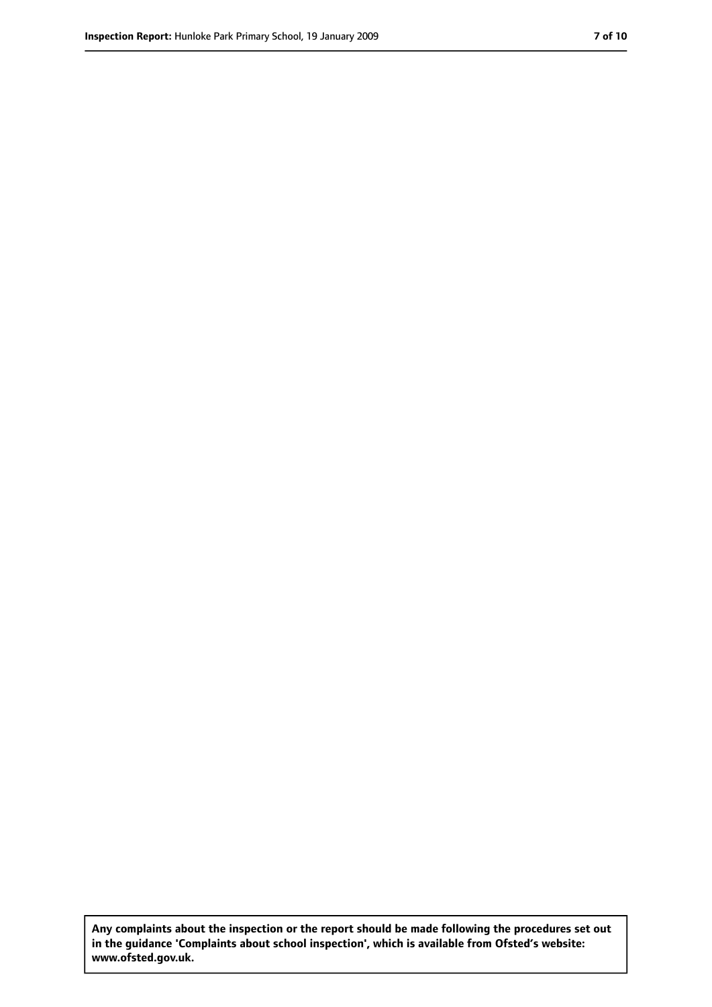**Any complaints about the inspection or the report should be made following the procedures set out in the guidance 'Complaints about school inspection', which is available from Ofsted's website: www.ofsted.gov.uk.**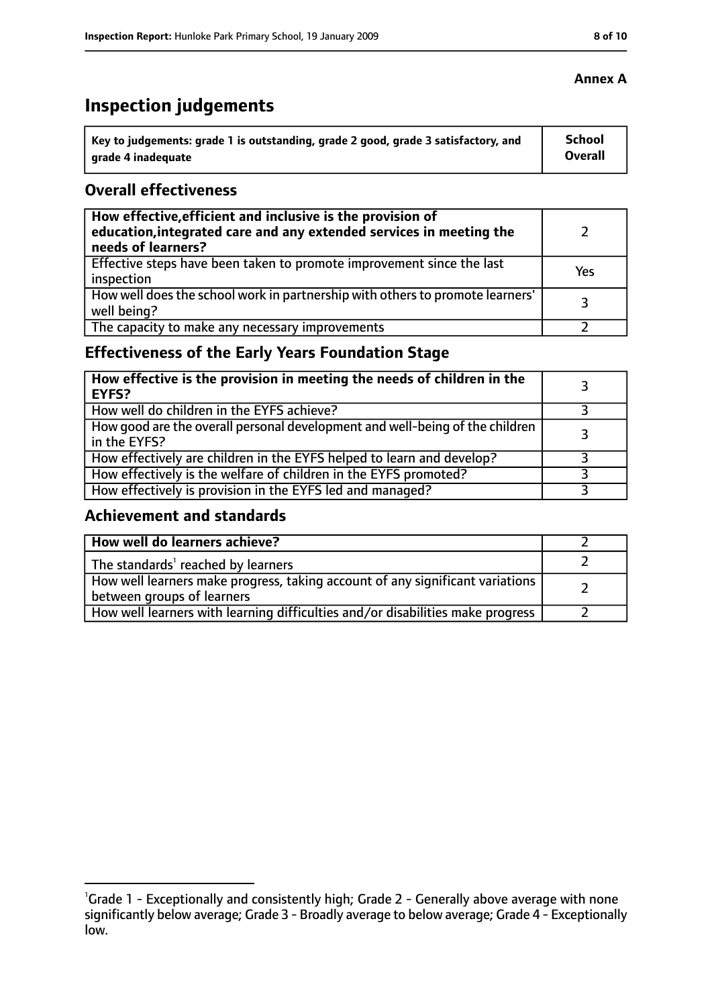# **Inspection judgements**

| $^{\prime}$ Key to judgements: grade 1 is outstanding, grade 2 good, grade 3 satisfactory, and | <b>School</b>  |
|------------------------------------------------------------------------------------------------|----------------|
| arade 4 inadequate                                                                             | <b>Overall</b> |

### **Overall effectiveness**

| How effective, efficient and inclusive is the provision of<br>education, integrated care and any extended services in meeting the<br>needs of learners? |     |
|---------------------------------------------------------------------------------------------------------------------------------------------------------|-----|
| Effective steps have been taken to promote improvement since the last<br>inspection                                                                     | Yes |
| How well does the school work in partnership with others to promote learners'<br>well being?                                                            | 3   |
| The capacity to make any necessary improvements                                                                                                         |     |

### **Effectiveness of the Early Years Foundation Stage**

| How effective is the provision in meeting the needs of children in the<br><b>EYFS?</b>       |  |
|----------------------------------------------------------------------------------------------|--|
| How well do children in the EYFS achieve?                                                    |  |
| How good are the overall personal development and well-being of the children<br>in the EYFS? |  |
| How effectively are children in the EYFS helped to learn and develop?                        |  |
| How effectively is the welfare of children in the EYFS promoted?                             |  |
| How effectively is provision in the EYFS led and managed?                                    |  |

### **Achievement and standards**

| How well do learners achieve?                                                                               |  |
|-------------------------------------------------------------------------------------------------------------|--|
| The standards <sup>1</sup> reached by learners                                                              |  |
| How well learners make progress, taking account of any significant variations<br>between groups of learners |  |
| How well learners with learning difficulties and/or disabilities make progress                              |  |

<sup>&</sup>lt;sup>1</sup>Grade 1 - Exceptionally and consistently high; Grade 2 - Generally above average with none significantly below average; Grade 3 - Broadly average to below average; Grade 4 - Exceptionally low.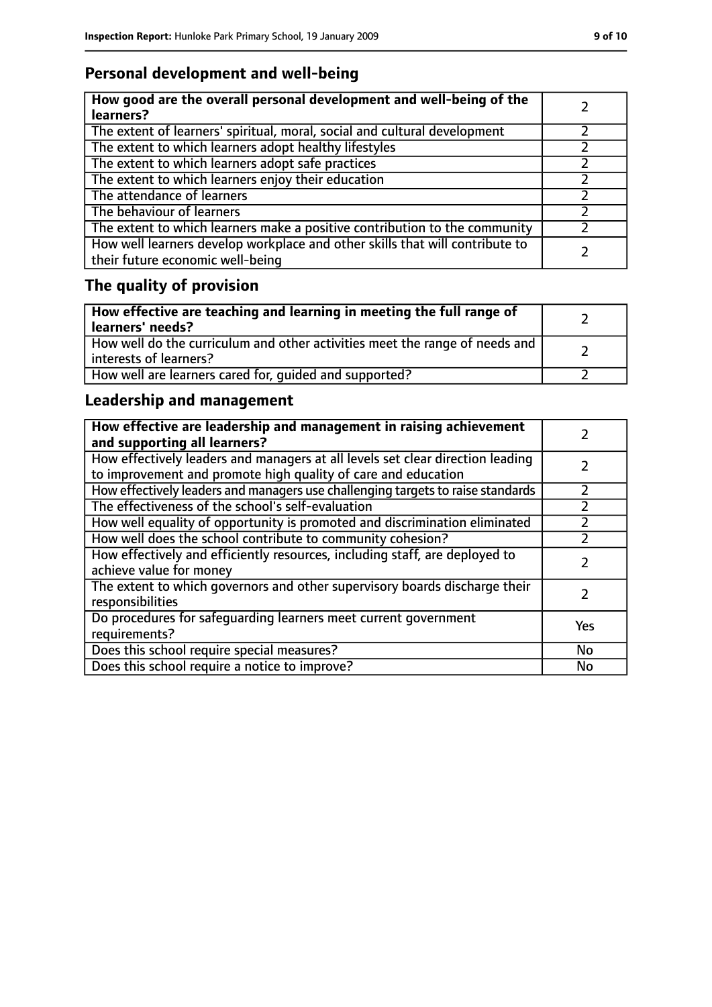### **Personal development and well-being**

| How good are the overall personal development and well-being of the<br>learners?                                 |  |
|------------------------------------------------------------------------------------------------------------------|--|
| The extent of learners' spiritual, moral, social and cultural development                                        |  |
| The extent to which learners adopt healthy lifestyles                                                            |  |
| The extent to which learners adopt safe practices                                                                |  |
| The extent to which learners enjoy their education                                                               |  |
| The attendance of learners                                                                                       |  |
| The behaviour of learners                                                                                        |  |
| The extent to which learners make a positive contribution to the community                                       |  |
| How well learners develop workplace and other skills that will contribute to<br>their future economic well-being |  |

# **The quality of provision**

| How effective are teaching and learning in meeting the full range of<br>learners' needs?              |  |
|-------------------------------------------------------------------------------------------------------|--|
| How well do the curriculum and other activities meet the range of needs and<br>interests of learners? |  |
| How well are learners cared for, quided and supported?                                                |  |

### **Leadership and management**

| How effective are leadership and management in raising achievement<br>and supporting all learners?                                              |     |
|-------------------------------------------------------------------------------------------------------------------------------------------------|-----|
| How effectively leaders and managers at all levels set clear direction leading<br>to improvement and promote high quality of care and education |     |
| How effectively leaders and managers use challenging targets to raise standards                                                                 |     |
| The effectiveness of the school's self-evaluation                                                                                               |     |
| How well equality of opportunity is promoted and discrimination eliminated                                                                      |     |
| How well does the school contribute to community cohesion?                                                                                      |     |
| How effectively and efficiently resources, including staff, are deployed to<br>achieve value for money                                          |     |
| The extent to which governors and other supervisory boards discharge their<br>responsibilities                                                  |     |
| Do procedures for safeguarding learners meet current government<br>requirements?                                                                | Yes |
| Does this school require special measures?                                                                                                      | No  |
| Does this school require a notice to improve?                                                                                                   | No  |